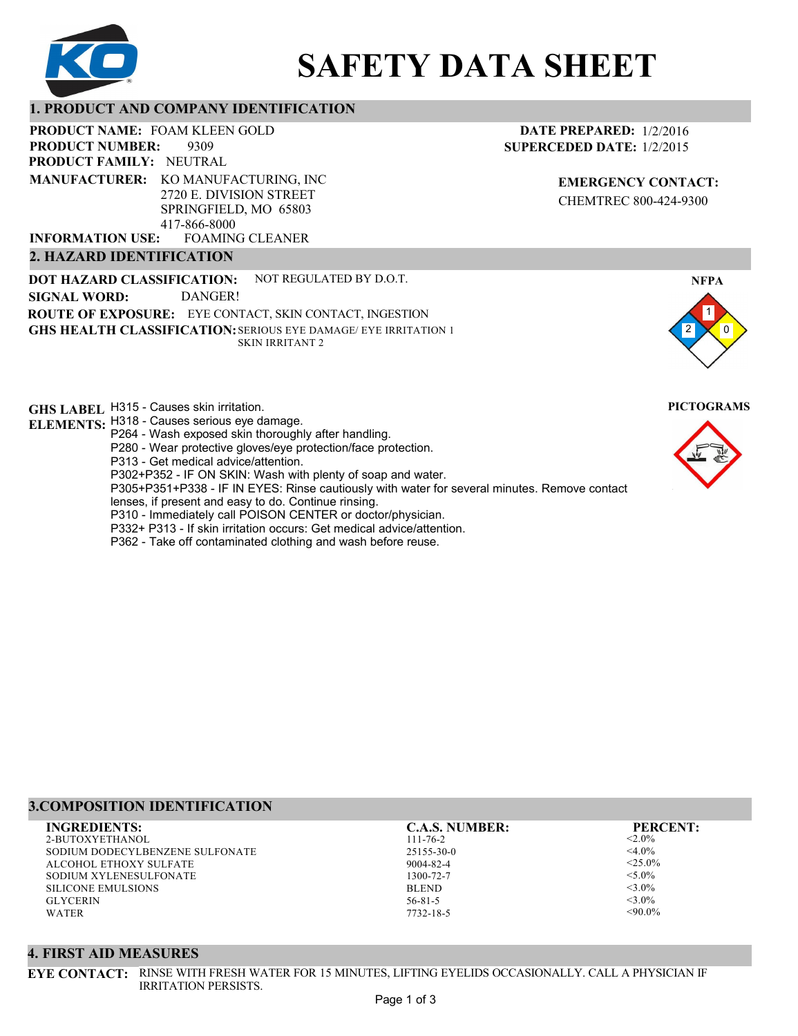

# **SAFETY DATA SHEET**

## **1. PRODUCT AND COMPANY IDENTIFICATION**

PRODUCT NAME: FOAM KLEEN GOLD

9309 **PRODUCT FAMILY: NEUTRAL PRODUCT NUMBER: MANUFACTURER:** KO MANUFACTURING, INC

2720 E. DIVISION STREET SPRINGFIELD, MO 65803 417-866-8000

FOAMING CLEANER **INFORMATION USE:**

# **2. HAZARD IDENTIFICATION**

**DOT HAZARD CLASSIFICATION: GHS HEALTH CLASSIFICATION:** SERIOUS EYE DAMAGE/ EYE IRRITATION 1 **ROUTE OF EXPOSURE:** EYE CONTACT, SKIN CONTACT, INGESTION NOT REGULATED BY D.O.T. SKIN IRRITANT 2 **SIGNAL WORD:** DANGER!

**GHS LABEL**  H315 - Causes skin irritation. **PICTOGRAMS**

- **ELEMENTS:** H318 Causes serious eye damage. P264 - Wash exposed skin thoroughly after handling.
	- P280 Wear protective gloves/eye protection/face protection.
	- P313 Get medical advice/attention.
	- P302+P352 IF ON SKIN: Wash with plenty of soap and water.

P305+P351+P338 - IF IN EYES: Rinse cautiously with water for several minutes. Remove contact

- lenses, if present and easy to do. Continue rinsing.
- P310 Immediately call POISON CENTER or doctor/physician.
- P332+ P313 If skin irritation occurs: Get medical advice/attention.
- P362 Take off contaminated clothing and wash before reuse.

# **DATE PREPARED:** 1/2/2016 **SUPERCEDED DATE:** 1/2/2015

**EMERGENCY CONTACT:** CHEMTREC 800-424-9300





# **3.COMPOSITION IDENTIFICATION**

2-BUTOXYETHANOL SODIUM DODECYLBENZENE SULFONATE ALCOHOL ETHOXY SULFATE SODIUM XYLENESULFONATE SILICONE EMULSIONS GLYCERIN WATER **INGREDIENTS: C.A.S. NUMBER: PERCENT:**

111-76-2 25155-30-0 9004-82-4 1300-72-7 BLEND 56-81-5

7732-18-5

 $< 2.0\%$  $<$ 4.0%  $<$ 25.0%  $<$ 5.0%  $<$ 3.0%  $<$ 3.0%  $<90.0\%$ 

#### **4. FIRST AID MEASURES**

**EYE CONTACT:** RINSE WITH FRESH WATER FOR 15 MINUTES, LIFTING EYELIDS OCCASIONALLY. CALL A PHYSICIAN IF IRRITATION PERSISTS.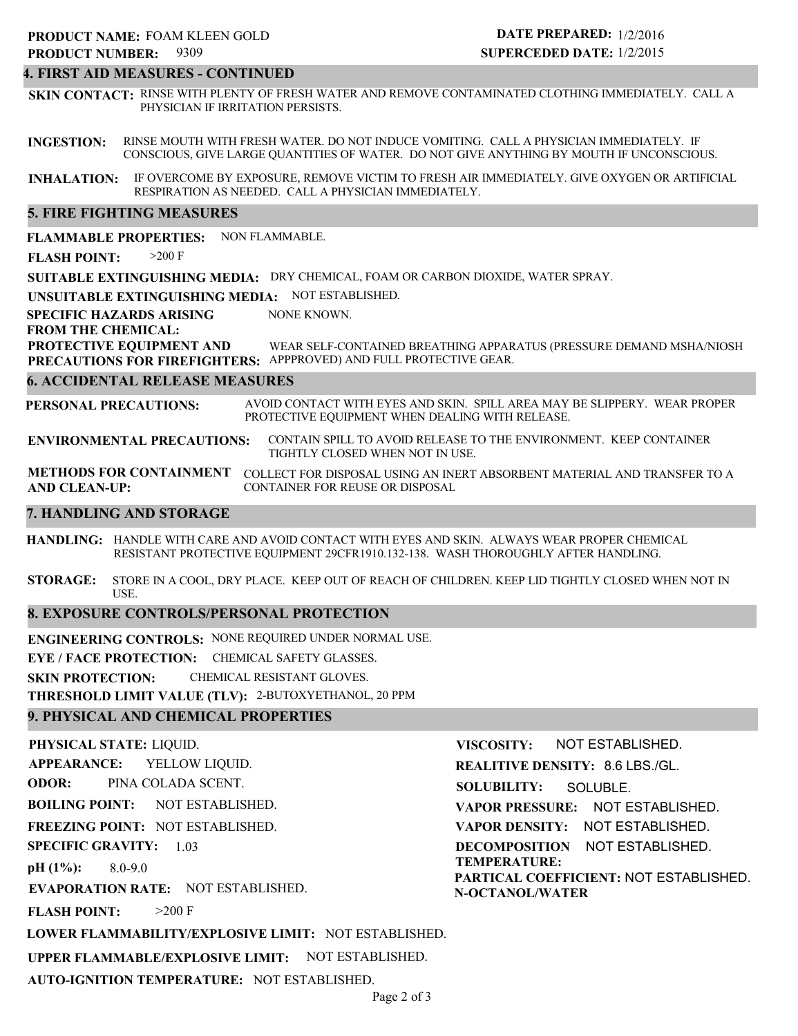#### **4. FIRST AID MEASURES - CONTINUED**

**SKIN CONTACT:** RINSE WITH PLENTY OF FRESH WATER AND REMOVE CONTAMINATED CLOTHING IMMEDIATELY. CALL A PHYSICIAN IF IRRITATION PERSISTS.

**INGESTION:** RINSE MOUTH WITH FRESH WATER. DO NOT INDUCE VOMITING. CALL A PHYSICIAN IMMEDIATELY. IF CONSCIOUS, GIVE LARGE QUANTITIES OF WATER. DO NOT GIVE ANYTHING BY MOUTH IF UNCONSCIOUS.

**INHALATION:** IF OVERCOME BY EXPOSURE, REMOVE VICTIM TO FRESH AIR IMMEDIATELY. GIVE OXYGEN OR ARTIFICIAL RESPIRATION AS NEEDED. CALL A PHYSICIAN IMMEDIATELY.

#### **5. FIRE FIGHTING MEASURES**

**FLAMMABLE PROPERTIES:** NON FLAMMABLE.

**FLASH POINT:** >200 F

**SUITABLE EXTINGUISHING MEDIA:** DRY CHEMICAL, FOAM OR CARBON DIOXIDE, WATER SPRAY.

**UNSUITABLE EXTINGUISHING MEDIA:** NOT ESTABLISHED.

**SPECIFIC HAZARDS ARISING** NONE KNOWN.

**FROM THE CHEMICAL:**

**PROTECTIVE EQUIPMENT AND** WEAR SELF-CONTAINED BREATHING APPARATUS (PRESSURE DEMAND MSHA/NIOSH

**PRECAUTIONS FOR FIREFIGHTERS:** APPPROVED) AND FULL PROTECTIVE GEAR.

#### **6. ACCIDENTAL RELEASE MEASURES**

**PERSONAL PRECAUTIONS:** AVOID CONTACT WITH EYES AND SKIN. SPILL AREA MAY BE SLIPPERY. WEAR PROPER PROTECTIVE EQUIPMENT WHEN DEALING WITH RELEASE.

**ENVIRONMENTAL PRECAUTIONS:** CONTAIN SPILL TO AVOID RELEASE TO THE ENVIRONMENT. KEEP CONTAINER TIGHTLY CLOSED WHEN NOT IN USE.

**METHODS FOR CONTAINMENT** COLLECT FOR DISPOSAL USING AN INERT ABSORBENT MATERIAL AND TRANSFER TO A **AND CLEAN-UP:** CONTAINER FOR REUSE OR DISPOSAL

#### **7. HANDLING AND STORAGE**

**HANDLING:** HANDLE WITH CARE AND AVOID CONTACT WITH EYES AND SKIN. ALWAYS WEAR PROPER CHEMICAL RESISTANT PROTECTIVE EQUIPMENT 29CFR1910.132-138. WASH THOROUGHLY AFTER HANDLING.

**STORAGE:** STORE IN A COOL, DRY PLACE. KEEP OUT OF REACH OF CHILDREN. KEEP LID TIGHTLY CLOSED WHEN NOT IN USE.

#### **8. EXPOSURE CONTROLS/PERSONAL PROTECTION**

**ENGINEERING CONTROLS:** NONE REQUIRED UNDER NORMAL USE.

**EYE / FACE PROTECTION:** CHEMICAL SAFETY GLASSES.

**SKIN PROTECTION:** CHEMICAL RESISTANT GLOVES.

**THRESHOLD LIMIT VALUE (TLV):** 2-BUTOXYETHANOL, 20 PPM

#### **9. PHYSICAL AND CHEMICAL PROPERTIES**

**PHYSICAL STATE:** LIQUID. **APPEARANCE: ODOR: BOILING POINT: FREEZING POINT:** NOT ESTABLISHED. **SPECIFIC GRAVITY:** 1.03 **pH (1%): EVAPORATION RATE:** NOT ESTABLISHED. **FLASH POINT: LOWER FLAMMABILITY/EXPLOSIVE LIMIT:** NOT ESTABLISHED. **UPPER FLAMMABLE/EXPLOSIVE LIMIT:** NOT ESTABLISHED. NOT ESTABLISHED. 8.0-9.0  $>200$  F YELLOW LIQUID. PINA COLADA SCENT. **VISCOSITY: REALITIVE DENSITY:** 8.6 LBS./GL. **SOLUBILITY: VAPOR PRESSURE:** NOT ESTABLISHED. **VAPOR DENSITY:** NOT ESTABLISHED. **DECOMPOSITION** NOT ESTABLISHED. **TEMPERATURE: PARTICAL COEFFICIENT:** NOT ESTABLISHED. **N-OCTANOL/WATER** NOT ESTABLISHED. SOLUBLE.

**AUTO-IGNITION TEMPERATURE:** NOT ESTABLISHED.